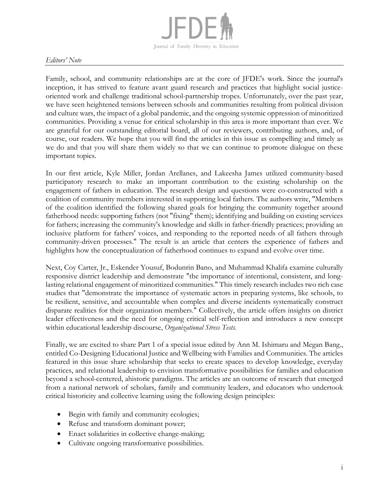

## *Editors' Note*

Family, school, and community relationships are at the core of JFDE's work. Since the journal's inception, it has strived to feature avant guard research and practices that highlight social justiceoriented work and challenge traditional school-partnership tropes. Unfortunately, over the past year, we have seen heightened tensions between schools and communities resulting from political division and culture wars, the impact of a global pandemic, and the ongoing systemic oppression of minoritized communities. Providing a venue for critical scholarship in this area is more important than ever. We are grateful for our outstanding editorial board, all of our reviewers, contributing authors, and, of course, our readers. We hope that you will find the articles in this issue as compelling and timely as we do and that you will share them widely so that we can continue to promote dialogue on these important topics.

In our first article, Kyle Miller, Jordan Arellanes, and Lakeesha James utilized community-based participatory research to make an important contribution to the existing scholarship on the engagement of fathers in education. The research design and questions were co-constructed with a coalition of community members interested in supporting local fathers. The authors write, "Members of the coalition identified the following shared goals for bringing the community together around fatherhood needs: supporting fathers (not "fixing" them); identifying and building on existing services for fathers; increasing the community's knowledge and skills in father-friendly practices; providing an inclusive platform for fathers' voices, and responding to the reported needs of all fathers through community-driven processes." The result is an article that centers the experience of fathers and highlights how the conceptualization of fatherhood continues to expand and evolve over time.

Next, Coy Carter, Jr., Eskender Yousuf, Bodunrin Bano, and Muhammad Khalifa examine culturally responsive district leadership and demonstrate "the importance of intentional, consistent, and longlasting relational engagement of minoritized communities." This timely research includes two rich case studies that "demonstrate the importance of systematic actors in preparing systems, like schools, to be resilient, sensitive, and accountable when complex and diverse incidents systematically construct disparate realities for their organization members." Collectively, the article offers insights on district leader effectiveness and the need for ongoing critical self-reflection and introduces a new concept within educational leadership discourse, *Organizational Stress Tests*.

Finally, we are excited to share Part 1 of a special issue edited by Ann M. Ishimaru and Megan Bang., entitled Co-Designing Educational Justice and Wellbeing with Families and Communities. The articles featured in this issue share scholarship that seeks to create spaces to develop knowledge, everyday practices, and relational leadership to envision transformative possibilities for families and education beyond a school-centered, ahistoric paradigms. The articles are an outcome of research that emerged from a national network of scholars, family and community leaders, and educators who undertook critical historicity and collective learning using the following design principles:

- Begin with family and community ecologies;
- Refuse and transform dominant power;
- Enact solidarities in collective change-making;
- Cultivate ongoing transformative possibilities.